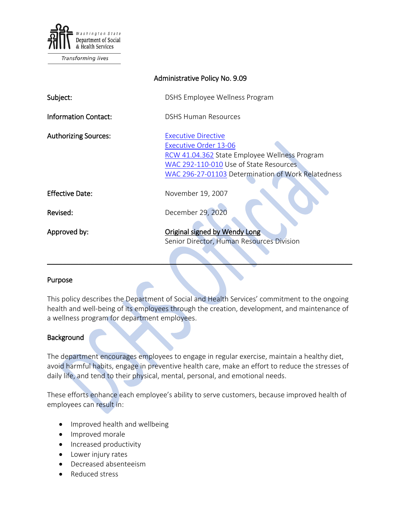

Transforming lives

| Administrative Policy No. 9.09 |                                                                                                                                                                                                             |
|--------------------------------|-------------------------------------------------------------------------------------------------------------------------------------------------------------------------------------------------------------|
| Subject:                       | DSHS Employee Wellness Program                                                                                                                                                                              |
| <b>Information Contact:</b>    | <b>DSHS Human Resources</b>                                                                                                                                                                                 |
| <b>Authorizing Sources:</b>    | <b>Executive Directive</b><br><b>Executive Order 13-06</b><br>RCW 41.04.362 State Employee Wellness Program<br>WAC 292-110-010 Use of State Resources<br>WAC 296-27-01103 Determination of Work Relatedness |
| <b>Effective Date:</b>         | November 19, 2007                                                                                                                                                                                           |
| Revised:                       | December 29, 2020                                                                                                                                                                                           |
| Approved by:                   | <b>Original signed by Wendy Long</b><br>Senior Director, Human Resources Division                                                                                                                           |

#### Purpose

This policy describes the Department of Social and Health Services' commitment to the ongoing health and well-being of its employees through the creation, development, and maintenance of a wellness program for department employees.

 $\mathcal{L} = \mathcal{L} \mathcal{L} = \mathcal{L} \mathcal{L} = \mathcal{L} \mathcal{L} = \mathcal{L} \mathcal{L} = \mathcal{L} \mathcal{L} = \mathcal{L} \mathcal{L} = \mathcal{L} \mathcal{L} = \mathcal{L} \mathcal{L} = \mathcal{L} \mathcal{L} = \mathcal{L} \mathcal{L} = \mathcal{L} \mathcal{L} = \mathcal{L} \mathcal{L} = \mathcal{L} \mathcal{L} = \mathcal{L} \mathcal{L} = \mathcal{L} \mathcal{L} = \mathcal{L} \mathcal{L} = \mathcal{L$ 

## **Background**

The department encourages employees to engage in regular exercise, maintain a healthy diet, avoid harmful habits, engage in preventive health care, make an effort to reduce the stresses of daily life, and tend to their physical, mental, personal, and emotional needs.

These efforts enhance each employee's ability to serve customers, because improved health of employees can result in:

- Improved health and wellbeing
- Improved morale
- Increased productivity
- Lower injury rates
- Decreased absenteeism
- Reduced stress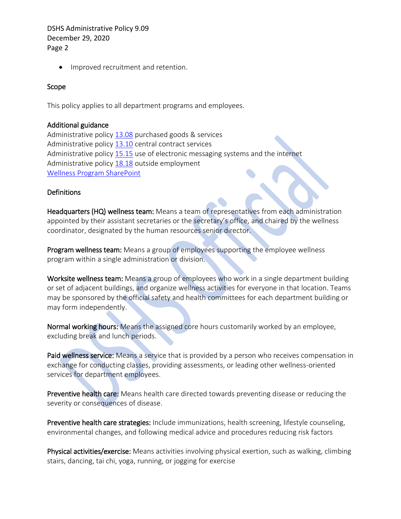• Improved recruitment and retention.

### Scope

This policy applies to all department programs and employees.

#### Additional guidance

Administrative policy [13.08](http://one.dshs.wa.lcl/Policies/Administrative/DSHS-AP-13-08.pdf) purchased goods & services Administrative policy [13.10](http://one.dshs.wa.lcl/Policies/Administrative/DSHS-AP-13-10.pdf) central contract services Administrative policy [15.15](http://one.dshs.wa.lcl/Policies/Administrative/DSHS-AP-15-15.pdf) use of electronic messaging systems and the internet Administrative policy [18.18](http://one.dshs.wa.lcl/Policies/Administrative/DSHS-AP-18-18.pdf) outside employment [Wellness Program SharePoint](http://hrd.dshs.wa.gov/Employees/wellness/Wellness.htm)

### **Definitions**

Headquarters (HQ) wellness team: Means a team of representatives from each administration appointed by their assistant secretaries or the secretary's office, and chaired by the wellness coordinator, designated by the human resources senior director.

Program wellness team: Means a group of employees supporting the employee wellness program within a single administration or division.

Worksite wellness team: Means a group of employees who work in a single department building or set of adjacent buildings, and organize wellness activities for everyone in that location. Teams may be sponsored by the official safety and health committees for each department building or may form independently.

Normal working hours: Means the assigned core hours customarily worked by an employee, excluding break and lunch periods.

Paid wellness service: Means a service that is provided by a person who receives compensation in exchange for conducting classes, providing assessments, or leading other wellness-oriented services for department employees.

Preventive health care: Means health care directed towards preventing disease or reducing the severity or consequences of disease.

Preventive health care strategies: Include immunizations, health screening, lifestyle counseling, environmental changes, and following medical advice and procedures reducing risk factors

Physical activities/exercise: Means activities involving physical exertion, such as walking, climbing stairs, dancing, tai chi, yoga, running, or jogging for exercise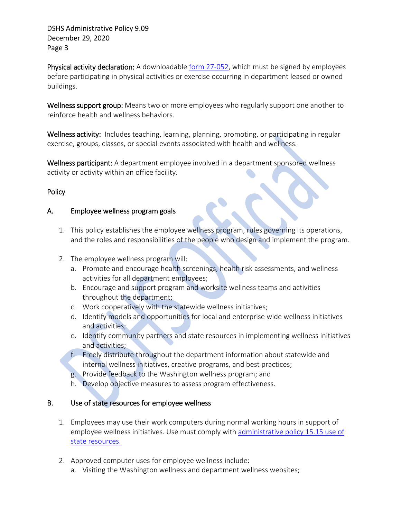Physical activity declaration: A downloadable form [27-052,](http://forms.dshs.wa.lcl/) which must be signed by employees before participating in physical activities or exercise occurring in department leased or owned buildings.

Wellness support group: Means two or more employees who regularly support one another to reinforce health and wellness behaviors.

Wellness activity: Includes teaching, learning, planning, promoting, or participating in regular exercise, groups, classes, or special events associated with health and wellness.

Wellness participant: A department employee involved in a department sponsored wellness activity or activity within an office facility.

# **Policy**

### A. Employee wellness program goals

- 1. This policy establishes the employee wellness program, rules governing its operations, and the roles and responsibilities of the people who design and implement the program.
- 2. The employee wellness program will:
	- a. Promote and encourage health screenings, health risk assessments, and wellness activities for all department employees;
	- b. Encourage and support program and worksite wellness teams and activities throughout the department;
	- c. Work cooperatively with the statewide wellness initiatives;
	- d. Identify models and opportunities for local and enterprise wide wellness initiatives and activities;
	- e. Identify community partners and state resources in implementing wellness initiatives and activities;
	- f. Freely distribute throughout the department information about statewide and internal wellness initiatives, creative programs, and best practices;
	- g. Provide feedback to the Washington wellness program; and
	- h. Develop objective measures to assess program effectiveness.

## B. Use of state resources for employee wellness

- 1. Employees may use their work computers during normal working hours in support of employee wellness initiatives. Use must comply with administrative policy 15.15 use of [state resources.](http://one.dshs.wa.lcl/Policies/Administrative/DSHS-AP-15-15.pdf)
- 2. Approved computer uses for employee wellness include:
	- a. Visiting the Washington wellness and department wellness websites;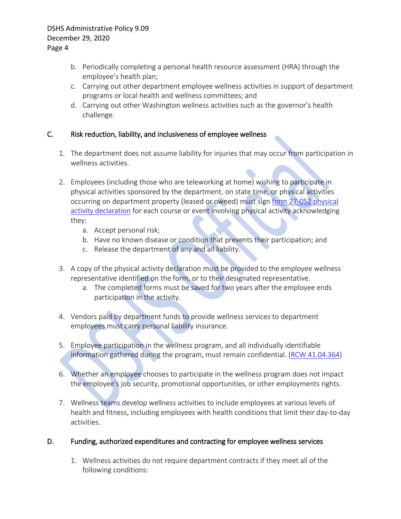- b. Periodically completing a personal health resource assessment (HRA) through the employee's health plan;
- c. Carrying out other department employee wellness activities in support of department programs or local health and wellness committees; and
- d. Carrying out other Washington wellness activities such as the governor's health challenge.

# C. Risk reduction, liability, and inclusiveness of employee wellness

- 1. The department does not assume liability for injuries that may occur from participation in wellness activities.
- 2. Employees (including those who are teleworking at home) wishing to participate in physical activities sponsored by the department, on state time, or physical activities occurring on department property (leased or owned) must sign [form 27-052](http://forms.dshs.wa.lcl/) physical [activity declaration](http://forms.dshs.wa.lcl/) for each course or event involving physical activity acknowledging they:
	- a. Accept personal risk;
	- b. Have no known disease or condition that prevents their participation; and
	- c. Release the department of any and all liability.
- 3. A copy of the physical activity declaration must be provided to the employee wellness representative identified on the form, or to their designated representative.
	- a. The completed forms must be saved for two years after the employee ends participation in the activity.
- 4. Vendors paid by department funds to provide wellness services to department employees must carry personal liability insurance.
- 5. Employee participation in the wellness program, and all individually identifiable information gathered during the program, must remain confidential. [\(RCW 41.04.364\)](http://apps.leg.wa.gov/RCW/default.aspx?cite=41.04.364)
- 6. Whether an employee chooses to participate in the wellness program does not impact the employee's job security, promotional opportunities, or other employments rights.
- 7. Wellness teams develop wellness activities to include employees at various levels of health and fitness, including employees with health conditions that limit their day-to-day activities.

# D. Funding, authorized expenditures and contracting for employee wellness services

1. Wellness activities do not require department contracts if they meet all of the following conditions: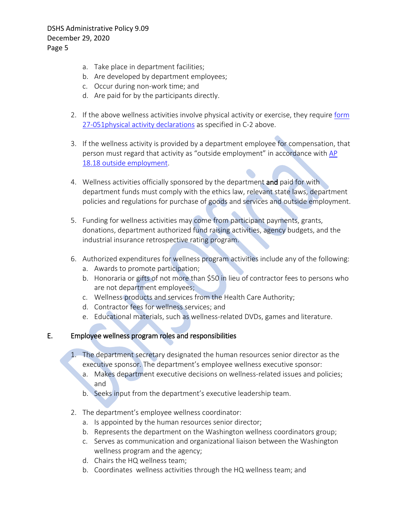- a. Take place in department facilities;
- b. Are developed by department employees;
- c. Occur during non-work time; and
- d. Are paid for by the participants directly.
- 2. If the above wellness activities involve physical activity or exercise, they require form [27-051physical activity declarations](http://forms.dshs.wa.lcl/) as specified in C-2 above.
- 3. If the wellness activity is provided by a department employee for compensation, that person must regard that activity as "outside employment" in accordance with [AP](http://one.dshs.wa.lcl/Policies/Administrative/DSHS-AP-18-18.pdf)  [18.18 outside employment.](http://one.dshs.wa.lcl/Policies/Administrative/DSHS-AP-18-18.pdf)
- 4. Wellness activities officially sponsored by the department and paid for with department funds must comply with the ethics law, relevant state laws, department policies and regulations for purchase of goods and services and outside employment.
- 5. Funding for wellness activities may come from participant payments, grants, donations, department authorized fund raising activities, agency budgets, and the industrial insurance retrospective rating program.
- 6. Authorized expenditures for wellness program activities include any of the following:
	- a. Awards to promote participation;
	- b. Honoraria or gifts of not more than \$50 in lieu of contractor fees to persons who are not department employees;
	- c. Wellness products and services from the Health Care Authority;
	- d. Contractor fees for wellness services; and
	- e. Educational materials, such as wellness-related DVDs, games and literature.

## E. Employee wellness program roles and responsibilities

- 1. The department secretary designated the human resources senior director as the executive sponsor. The department's employee wellness executive sponsor:
	- a. Makes department executive decisions on wellness-related issues and policies; and
	- b. Seeks input from the department's executive leadership team.
- 2. The department's employee wellness coordinator:
	- a. Is appointed by the human resources senior director;
	- b. Represents the department on the Washington wellness coordinators group;
	- c. Serves as communication and organizational liaison between the Washington wellness program and the agency;
	- d. Chairs the HQ wellness team;
	- b. Coordinates wellness activities through the HQ wellness team; and